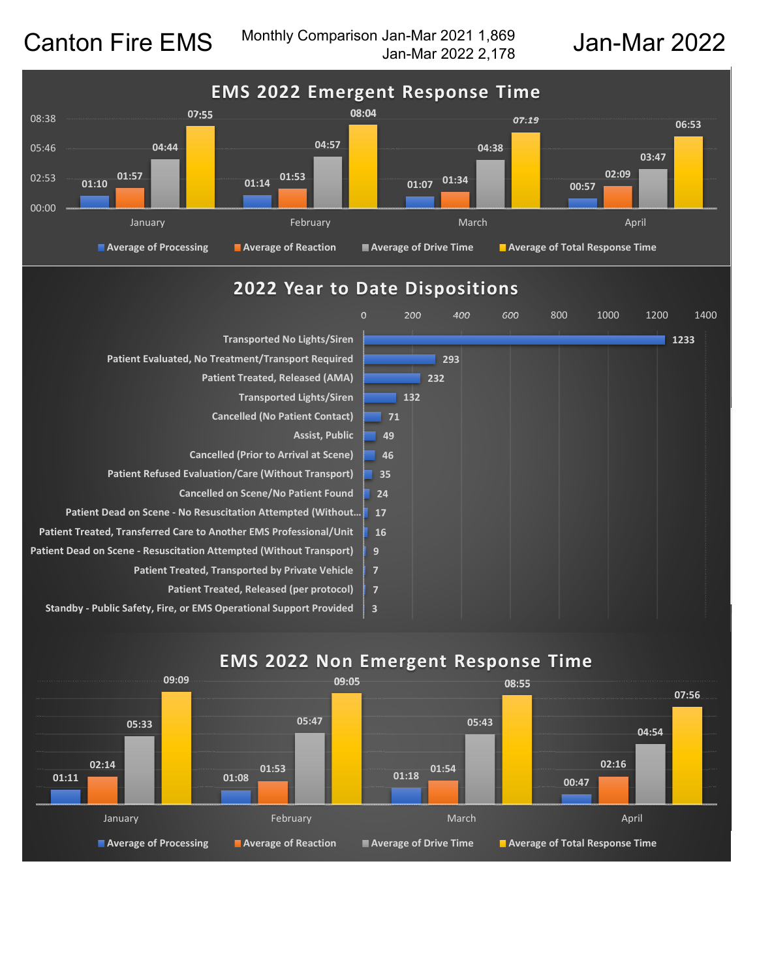Canton Fire EMS Monthly Comparison Jan-Mar 2021 1,869<br>Jan-Mar 2022 2,178 Monthly Comparison Jan-Mar 2021 1,869 Jan-Mar 2022



## **2022 Year to Date Dispositions**



# **EMS 2022 Non Emergent Response Time**